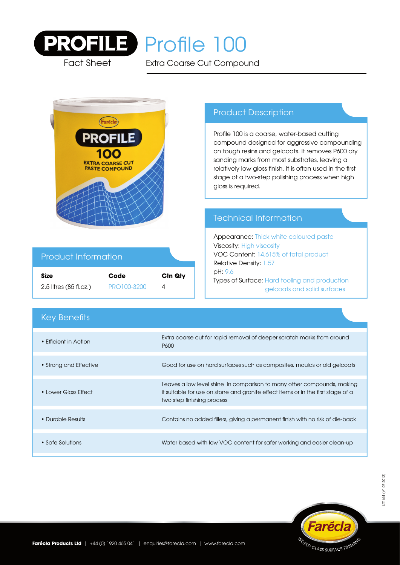

Fact Sheet

# PROFILE Profile 100

Extra Coarse Cut Compound



# Product Information

| <b>Size</b>            | Code        | Ctn Qty |
|------------------------|-------------|---------|
| 2.5 litres (85 fl.oz.) | PRO100-3200 |         |

# Product Description

Profile 100 is a coarse, water-based cutting compound designed for aggressive compounding on tough resins and gelcoats. It removes P600 dry sanding marks from most substrates, leaving a relatively low gloss finish. It is often used in the first stage of a two-step polishing process when high gloss is required.

# Technical Information

Appearance: Thick white coloured paste Viscosity: High viscosity VOC Content: 14.615% of total product Relative Density: 1.57 pH: 9.6 Types of Surface: Hard tooling and production gelcoats and solid surfaces

| <b>Key Benefits</b>    |                                                                                                                                                                                          |
|------------------------|------------------------------------------------------------------------------------------------------------------------------------------------------------------------------------------|
| • Efficient in Action  | Extra coarse cut for rapid removal of deeper scratch marks from around<br>P600                                                                                                           |
| • Strong and Effective | Good for use on hard surfaces such as composites, moulds or old gelcoats                                                                                                                 |
| • Lower Gloss Effect   | Leaves a low level shine in comparison to many other compounds, making<br>it suitable for use on stone and granite effect items or in the first stage of a<br>two step finishing process |
| • Durable Results      | Contains no added fillers, giving a permanent finish with no risk of die-back                                                                                                            |
| • Safe Solutions       | Water based with low VOC content for safer working and easier clean-up                                                                                                                   |